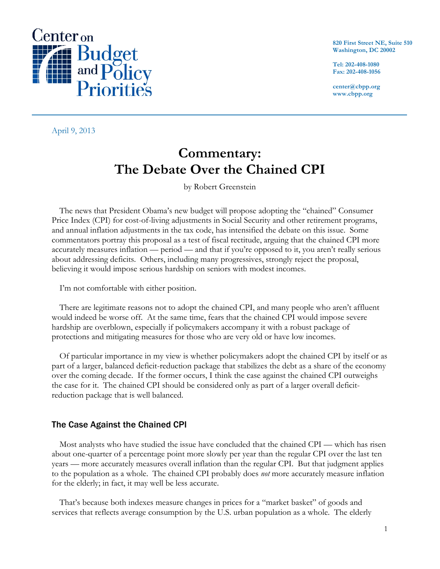

April 9, 2013

**820 First Street NE, Suite 510 Washington, DC 20002**

**Tel: 202-408-1080 Fax: 202-408-1056**

**center@cbpp.org www.cbpp.org**

## **Commentary: The Debate Over the Chained CPI**

by Robert Greenstein

The news that President Obama's new budget will propose adopting the "chained" Consumer Price Index (CPI) for cost-of-living adjustments in Social Security and other retirement programs, and annual inflation adjustments in the tax code, has intensified the debate on this issue. Some commentators portray this proposal as a test of fiscal rectitude, arguing that the chained CPI more accurately measures inflation — period — and that if you're opposed to it, you aren't really serious about addressing deficits. Others, including many progressives, strongly reject the proposal, believing it would impose serious hardship on seniors with modest incomes.

I'm not comfortable with either position.

There are legitimate reasons not to adopt the chained CPI, and many people who aren't affluent would indeed be worse off. At the same time, fears that the chained CPI would impose severe hardship are overblown, especially if policymakers accompany it with a robust package of protections and mitigating measures for those who are very old or have low incomes.

Of particular importance in my view is whether policymakers adopt the chained CPI by itself or as part of a larger, balanced deficit-reduction package that stabilizes the debt as a share of the economy over the coming decade. If the former occurs, I think the case against the chained CPI outweighs the case for it. The chained CPI should be considered only as part of a larger overall deficitreduction package that is well balanced.

## The Case Against the Chained CPI

Most analysts who have studied the issue have concluded that the chained CPI — which has risen about one-quarter of a percentage point more slowly per year than the regular CPI over the last ten years — more accurately measures overall inflation than the regular CPI. But that judgment applies to the population as a whole. The chained CPI probably does *not* more accurately measure inflation for the elderly; in fact, it may well be less accurate.

That's because both indexes measure changes in prices for a "market basket" of goods and services that reflects average consumption by the U.S. urban population as a whole. The elderly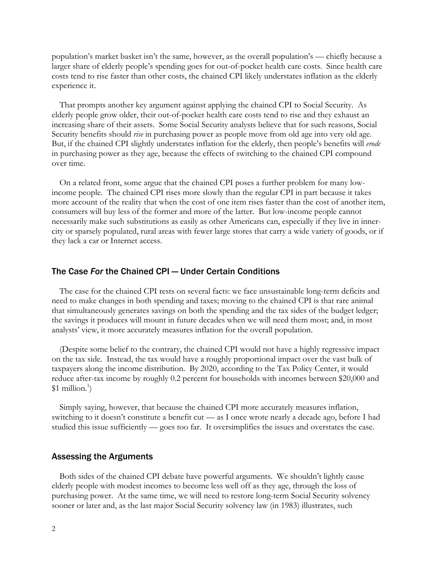population's market basket isn't the same, however, as the overall population's — chiefly because a larger share of elderly people's spending goes for out-of-pocket health care costs. Since health care costs tend to rise faster than other costs, the chained CPI likely understates inflation as the elderly experience it.

That prompts another key argument against applying the chained CPI to Social Security. As elderly people grow older, their out-of-pocket health care costs tend to rise and they exhaust an increasing share of their assets. Some Social Security analysts believe that for such reasons, Social Security benefits should *rise* in purchasing power as people move from old age into very old age. But, if the chained CPI slightly understates inflation for the elderly, then people's benefits will *erode* in purchasing power as they age, because the effects of switching to the chained CPI compound over time.

On a related front, some argue that the chained CPI poses a further problem for many lowincome people. The chained CPI rises more slowly than the regular CPI in part because it takes more account of the reality that when the cost of one item rises faster than the cost of another item, consumers will buy less of the former and more of the latter. But low-income people cannot necessarily make such substitutions as easily as other Americans can, especially if they live in innercity or sparsely populated, rural areas with fewer large stores that carry a wide variety of goods, or if they lack a car or Internet access.

## The Case *For* the Chained CPI — Under Certain Conditions

The case for the chained CPI rests on several facts: we face unsustainable long-term deficits and need to make changes in both spending and taxes; moving to the chained CPI is that rare animal that simultaneously generates savings on both the spending and the tax sides of the budget ledger; the savings it produces will mount in future decades when we will need them most; and, in most analysts' view, it more accurately measures inflation for the overall population.

(Despite some belief to the contrary, the chained CPI would not have a highly regressive impact on the tax side. Instead, the tax would have a roughly proportional impact over the vast bulk of taxpayers along the income distribution. By 2020, according to the Tax Policy Center, it would reduce after-tax income by roughly 0.2 percent for households with incomes between \$20,000 and  $$1$  million.<sup>1</sup>)

Simply saying, however, that because the chained CPI more accurately measures inflation, switching to it doesn't constitute a benefit cut — as I once wrote nearly a decade ago, before I had studied this issue sufficiently — goes too far. It oversimplifies the issues and overstates the case.

## Assessing the Arguments

Both sides of the chained CPI debate have powerful arguments. We shouldn't lightly cause elderly people with modest incomes to become less well off as they age, through the loss of purchasing power. At the same time, we will need to restore long-term Social Security solvency sooner or later and, as the last major Social Security solvency law (in 1983) illustrates, such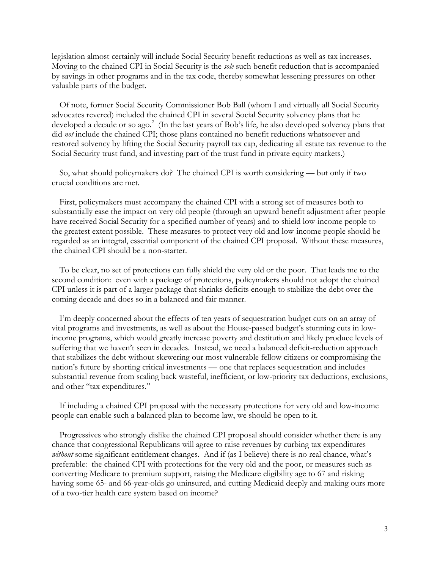legislation almost certainly will include Social Security benefit reductions as well as tax increases. Moving to the chained CPI in Social Security is the *sole* such benefit reduction that is accompanied by savings in other programs and in the tax code, thereby somewhat lessening pressures on other valuable parts of the budget.

Of note, former Social Security Commissioner Bob Ball (whom I and virtually all Social Security advocates revered) included the chained CPI in several Social Security solvency plans that he developed a decade or so ago.<sup>2</sup> (In the last years of Bob's life, he also developed solvency plans that did *not* include the chained CPI; those plans contained no benefit reductions whatsoever and restored solvency by lifting the Social Security payroll tax cap, dedicating all estate tax revenue to the Social Security trust fund, and investing part of the trust fund in private equity markets.)

So, what should policymakers do? The chained CPI is worth considering — but only if two crucial conditions are met.

First, policymakers must accompany the chained CPI with a strong set of measures both to substantially ease the impact on very old people (through an upward benefit adjustment after people have received Social Security for a specified number of years) and to shield low-income people to the greatest extent possible. These measures to protect very old and low-income people should be regarded as an integral, essential component of the chained CPI proposal. Without these measures, the chained CPI should be a non-starter.

To be clear, no set of protections can fully shield the very old or the poor. That leads me to the second condition: even with a package of protections, policymakers should not adopt the chained CPI unless it is part of a larger package that shrinks deficits enough to stabilize the debt over the coming decade and does so in a balanced and fair manner.

I'm deeply concerned about the effects of ten years of sequestration budget cuts on an array of vital programs and investments, as well as about the House-passed budget's stunning cuts in lowincome programs, which would greatly increase poverty and destitution and likely produce levels of suffering that we haven't seen in decades. Instead, we need a balanced deficit-reduction approach that stabilizes the debt without skewering our most vulnerable fellow citizens or compromising the nation's future by shorting critical investments — one that replaces sequestration and includes substantial revenue from scaling back wasteful, inefficient, or low-priority tax deductions, exclusions, and other "tax expenditures."

If including a chained CPI proposal with the necessary protections for very old and low-income people can enable such a balanced plan to become law, we should be open to it.

Progressives who strongly dislike the chained CPI proposal should consider whether there is any chance that congressional Republicans will agree to raise revenues by curbing tax expenditures *without* some significant entitlement changes. And if (as I believe) there is no real chance, what's preferable: the chained CPI with protections for the very old and the poor, or measures such as converting Medicare to premium support, raising the Medicare eligibility age to 67 and risking having some 65- and 66-year-olds go uninsured, and cutting Medicaid deeply and making ours more of a two-tier health care system based on income?